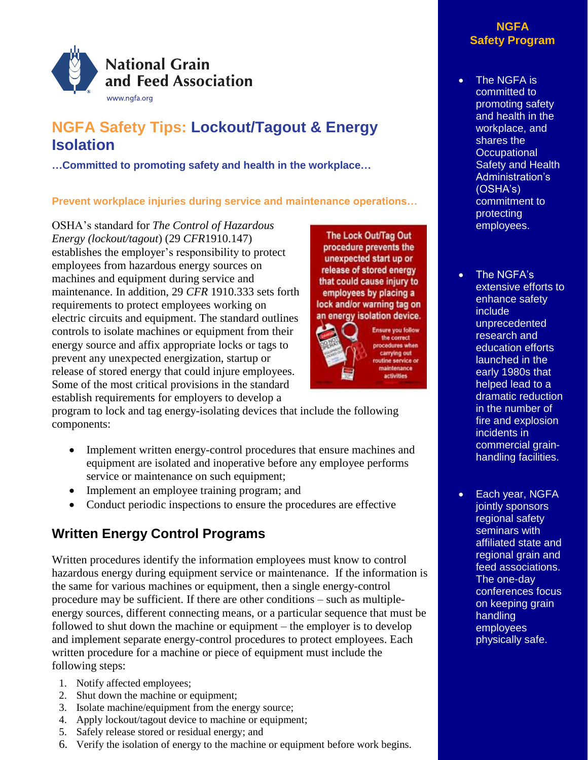

# **NGFA Safety Tips: Lockout/Tagout & Energy Isolation**

**…Committed to promoting safety and health in the workplace…**

## **Prevent workplace injuries during service and maintenance operations…**

OSHA's standard for *The Control of Hazardous Energy (lockout/tagout*) (29 *CFR*1910.147) establishes the employer's responsibility to protect employees from hazardous energy sources on machines and equipment during service and maintenance. In addition, 29 *CFR* 1910.333 sets forth requirements to protect employees working on electric circuits and equipment. The standard outlines controls to isolate machines or equipment from their energy source and affix appropriate locks or tags to prevent any unexpected energization, startup or release of stored energy that could injure employees. Some of the most critical provisions in the standard establish requirements for employers to develop a

The Lock Out/Tag Out procedure prevents the unexpected start up or release of stored energy that could cause injury to employees by placing a lock and/or warning tag on an energy isolation device.



Ensure you follow<br>the correct ocedures when carrying out e service or enance ctivities

program to lock and tag energy-isolating devices that include the following components:

- Implement written energy-control procedures that ensure machines and equipment are isolated and inoperative before any employee performs service or maintenance on such equipment;
- Implement an employee training program; and
- Conduct periodic inspections to ensure the procedures are effective

## **Written Energy Control Programs**

Written procedures identify the information employees must know to control hazardous energy during equipment service or maintenance. If the information is the same for various machines or equipment, then a single energy-control procedure may be sufficient. If there are other conditions – such as multipleenergy sources, different connecting means, or a particular sequence that must be followed to shut down the machine or equipment – the employer is to develop and implement separate energy-control procedures to protect employees. Each written procedure for a machine or piece of equipment must include the following steps:

- 1. Notify affected employees;
- 2. Shut down the machine or equipment;
- 3. Isolate machine/equipment from the energy source;
- 4. Apply lockout/tagout device to machine or equipment;
- 5. Safely release stored or residual energy; and
- 6. Verify the isolation of energy to the machine or equipment before work begins.

### **NGFA Safety Program**

- The NGFA is committed to promoting safety and health in the workplace, and shares the **Occupational** Safety and Health Administration's (OSHA's) commitment to protecting employees.
- The NGFA's extensive efforts to enhance safety include unprecedented research and education efforts launched in the early 1980s that helped lead to a dramatic reduction in the number of fire and explosion incidents in commercial grainhandling facilities.
- Each year, NGFA jointly sponsors regional safety seminars with affiliated state and regional grain and feed associations. The one-day conferences focus on keeping grain handling employees physically safe.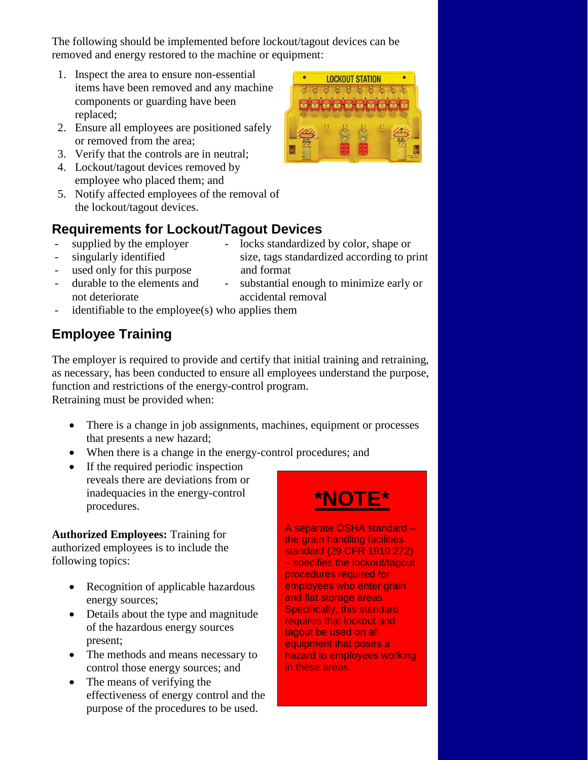The following should be implemented before lockout/tagout devices can be removed and energy restored to the machine or equipment:

- 1. Inspect the area to ensure non-essential items have been removed and any machine components or guarding have been replaced;
- 2. Ensure all employees are positioned safely or removed from the area;
- 3. Verify that the controls are in neutral;
- 4. Lockout/tagout devices removed by employee who placed them; and
- 5. Notify affected employees of the removal of the lockout/tagout devices.



## **Requirements for Lockout/Tagout Devices**

- supplied by the employer locks standardized by color, shape or
- 
- used only for this purpose and format
- singularly identified size, tags standardized according to print
- not deteriorate accidental removal
- durable to the elements and substantial enough to minimize early or
- $identifiable to the employee(s) who applies them$

# **Employee Training**

The employer is required to provide and certify that initial training and retraining, as necessary, has been conducted to ensure all employees understand the purpose, function and restrictions of the energy-control program.

Retraining must be provided when:

- There is a change in job assignments, machines, equipment or processes that presents a new hazard;
- When there is a change in the energy-control procedures; and
- If the required periodic inspection reveals there are deviations from or inadequacies in the energy-control procedures.

**Authorized Employees:** Training for authorized employees is to include the following topics:

- Recognition of applicable hazardous energy sources;
- Details about the type and magnitude of the hazardous energy sources present;
- The methods and means necessary to control those energy sources; and
- The means of verifying the effectiveness of energy control and the purpose of the procedures to be used.

# **\*NOTE\***

A separate OSHA standard – the grain handling facilities standard (29 CFR 1910.272) – specifies the lockout/tagout procedures required for employees who enter grain and flat storage areas. Specifically, this standard requires that lockout and tagout be used on all equipment that poses a hazard to employees working in these areas.